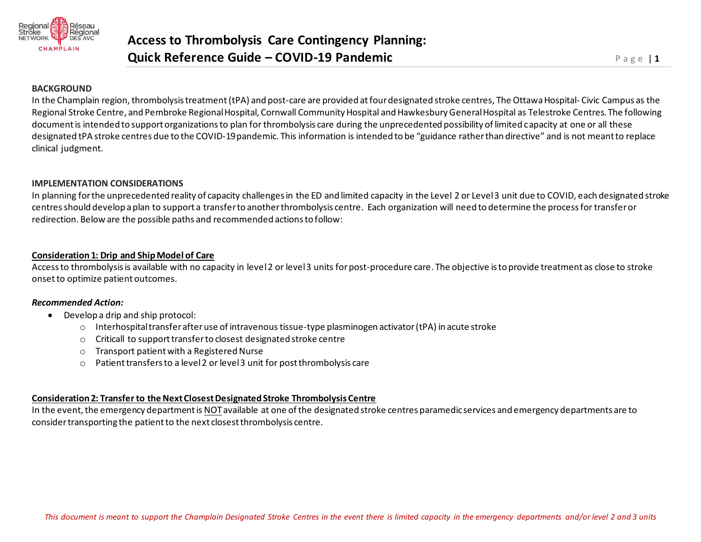

# **BACKGROUND**

In the Champlain region, thrombolysis treatment(tPA) and post-care are provided at four designated stroke centres, The Ottawa Hospital- Civic Campus as the Regional Stroke Centre, and Pembroke Regional Hospital, Cornwall Community Hospital and Hawkesbury General Hospital as Telestroke Centres. The following document is intended to support organizations to plan for thrombolysis care during the unprecedented possibility of limited capacity at one or all these designated tPA stroke centres due to the COVID-19 pandemic. This information is intended to be "guidance rather than directive" and is not meant to replace clinical judgment.

# **IMPLEMENTATION CONSIDERATIONS**

In planning for the unprecedented reality of capacity challenges in the ED and limited capacity in the Level 2 or Level 3 unit due to COVID, each designated stroke centresshould develop a plan to support a transfer to another thrombolysis centre. Each organization will need to determine the process for transfer or redirection. Below are the possible paths and recommended actions to follow:

# **Consideration 1: Drip and Ship Model of Care**

Access to thrombolysis is available with no capacity in level 2 or level 3 units for post-procedure care. The objective isto provide treatment as close to stroke onsetto optimize patient outcomes.

## *Recommended Action:*

- Develop a drip and ship protocol:
	- $\circ$  Interhospital transfer after use of intravenous tissue-type plasminogen activator (tPA) in acute stroke
	- o Criticall to support transfer to closest designated stroke centre
	- o Transport patient with a Registered Nurse
	- o Patient transfers to a level 2 or level 3 unit for post thrombolysis care

# **Consideration 2: Transfer to the Next Closest Designated Stroke Thrombolysis Centre**

In the event, the emergency department is NOTavailable at one of the designated stroke centres paramedic services and emergency departments are to consider transporting the patient to the next closest thrombolysis centre.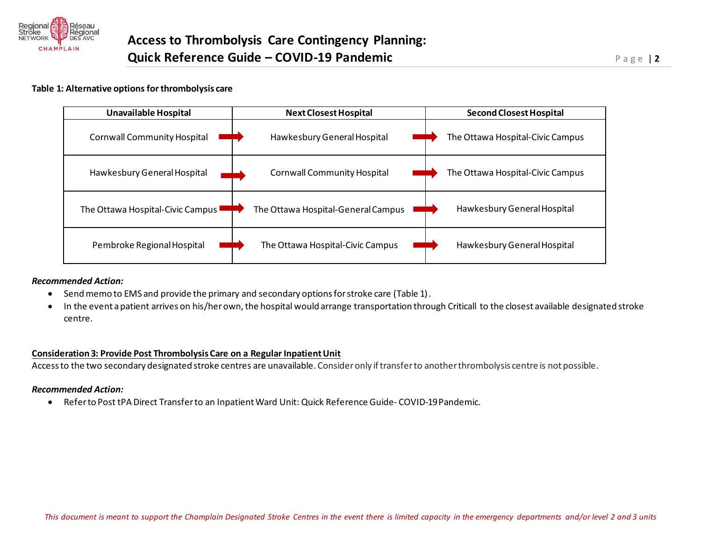

#### **Table 1: Alternative options for thrombolysis care**



## *Recommended Action:*

- Send memo to EMS and provide the primary and secondary options for stroke care (Table 1).
- In the event a patient arrives on his/her own, the hospital would arrange transportation through Criticall to the closest available designated stroke centre.

## **Consideration 3: Provide Post Thrombolysis Care on a Regular Inpatient Unit**

Access to the two secondary designated stroke centres are unavailable. Consider only if transfer to another thrombolysis centre is not possible.

## *Recommended Action:*

• Refer to Post tPA Direct Transfer to an Inpatient Ward Unit: Quick Reference Guide- COVID-19 Pandemic.